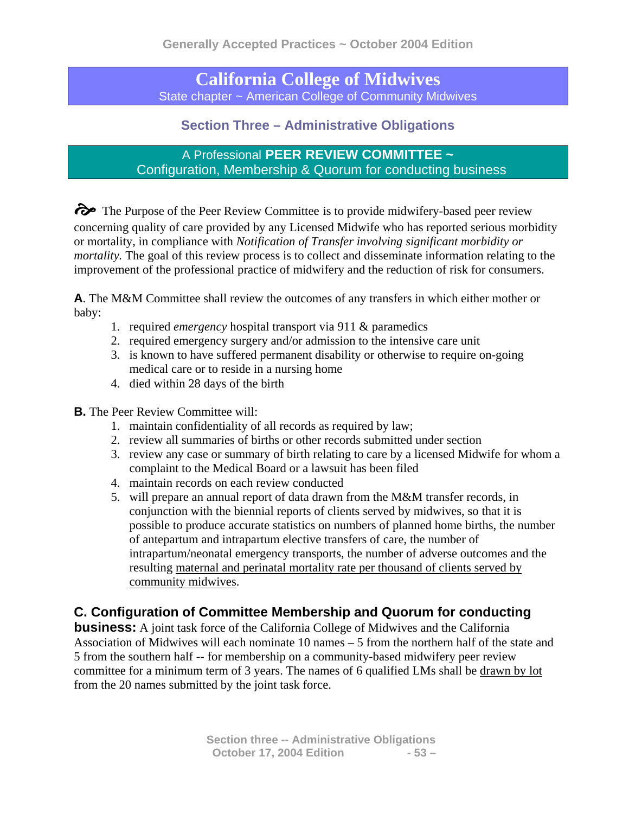**California College of Midwives**  State chapter ~ American College of Community Midwives

## **Section Three – Administrative Obligations**

A Professional **PEER REVIEW COMMITTEE ~ Configuration, Membership & Quorum for conducting business** 

 $\odot$  The Purpose of the Peer Review Committee is to provide midwifery-based peer review concerning quality of care provided by any Licensed Midwife who has reported serious morbidity or mortality, in compliance with *Notification of Transfer involving significant morbidity or mortality*. The goal of this review process is to collect and disseminate information relating to the improvement of the professional practice of midwifery and the reduction of risk for consumers.

**A**. The M&M Committee shall review the outcomes of any transfers in which either mother or baby:

- 1. required *emergency* hospital transport via 911 & paramedics
- 2. required emergency surgery and/or admission to the intensive care unit
- 3. is known to have suffered permanent disability or otherwise to require on-going medical care or to reside in a nursing home
- 4. died within 28 days of the birth

## **B.** The Peer Review Committee will:

- 1. maintain confidentiality of all records as required by law;
- 2. review all summaries of births or other records submitted under section
- 3. review any case or summary of birth relating to care by a licensed Midwife for whom a complaint to the Medical Board or a lawsuit has been filed
- 4. maintain records on each review conducted
- 5. will prepare an annual report of data drawn from the M&M transfer records, in conjunction with the biennial reports of clients served by midwives, so that it is possible to produce accurate statistics on numbers of planned home births, the number of antepartum and intrapartum elective transfers of care, the number of intrapartum/neonatal emergency transports, the number of adverse outcomes and the resulting maternal and perinatal mortality rate per thousand of clients served by community midwives.

## **C. Configuration of Committee Membership and Quorum for conducting**

**business:** A joint task force of the California College of Midwives and the California Association of Midwives will each nominate 10 names – 5 from the northern half of the state and 5 from the southern half -- for membership on a community-based midwifery peer review committee for a minimum term of 3 years. The names of 6 qualified LMs shall be drawn by lot from the 20 names submitted by the joint task force.